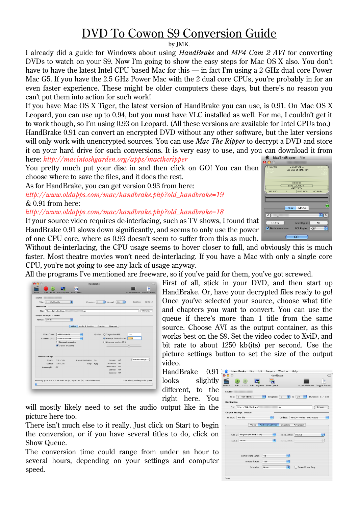## DVD To Cowon S9 Conversion Guide

by JMK.

I already did a guide for Windows about using *HandBrake* and *MP4 Cam 2 AVI* for converting DVDs to watch on your S9. Now I'm going to show the easy steps for Mac OS X also. You don't have to have the latest Intel CPU based Mac for this — in fact I'm using a 2 GHz dual core Power Mac G5. If you have the 2.5 GHz Power Mac with the 2 dual core CPUs, you're probably in for an even faster experience. These might be older computers these days, but there's no reason you can't put them into action for such work!

If you have Mac OS X Tiger, the latest version of HandBrake you can use, is 0.91. On Mac OS X Leopard, you can use up to 0.94, but you must have VLC installed as well. For me, I couldn't get it to work though, so I'm using 0.93 on Leopard. (All these versions are available for Intel CPUs too.) HandBrake 0.91 can convert an encrypted DVD without any other software, but the later versions will only work with unencrypted sources. You can use *Mac The Ripper* to decrypt a DVD and store it on your hard drive for such conversions. It is very easy to use, and you can download it from MacTheRipper File here: *http://macintoshgarden.org/apps/mactheripper*

You pretty much put your disc in and then click on GO! You can then choose where to save the files, and it does the rest.

As for HandBrake, you can get version 0.93 from here:

*http://www.oldapps.com/mac/handbrake.php?old\_handbrake=19* & 0.91 from here:

*http://www.oldapps.com/mac/handbrake.php?old\_handbrake=18*

If your source video requires de-interlacing, such as TV shows, I found that HandBrake 0.91 slows down significantly, and seems to only use the power of one CPU core, where as 0.93 doesn't seem to suffer from this as much.



Without de-interlacing, the CPU usage seems to hover closer to full, and obviously this is much faster. Most theatre movies won't need de-interlacing. If you have a Mac with only a single core CPU, you're not going to see any lack of usage anyway.

All the programs I've mentioned are freeware, so if you've paid for them, you've got screwed.

| Source:                        |                                                                         |                       |                 |                                                         |           |                                  |          |
|--------------------------------|-------------------------------------------------------------------------|-----------------------|-----------------|---------------------------------------------------------|-----------|----------------------------------|----------|
| Title: $1 - 02h06m10s$         | R                                                                       | Chapters: 1           |                 | through<br>l÷۱<br>16                                    | Ð         | Duration:                        | 02:06:10 |
| <b>Destination</b>             |                                                                         |                       |                 |                                                         |           |                                  |          |
| File: /Users/John/Desktop/     |                                                                         | .avi                  |                 |                                                         |           |                                  | Browse   |
| <b>Output Settings: Custom</b> |                                                                         |                       |                 |                                                         |           |                                  |          |
| Format: AVI file               | ÷                                                                       |                       |                 |                                                         |           |                                  |          |
|                                |                                                                         |                       |                 |                                                         |           |                                  |          |
|                                | Video                                                                   | Audio & Subtitles     | <b>Chapters</b> | Advanced                                                |           |                                  |          |
|                                |                                                                         |                       |                 |                                                         |           |                                  |          |
|                                | Video Codec: MPEG-4 (XviD)                                              | Ð                     |                 | Quality: ◯ Target size (MB):                            |           | 700                              |          |
|                                | Framerate (FPS): Same as source                                         | Ð                     |                 | Average bitrate (kbps):                                 |           | 1250                             |          |
|                                | Grayscale encoding<br>$\sqrt{2}$ -pass encoding                         |                       |                 | Constant quality: 65 %<br>----------------------------- |           |                                  |          |
|                                |                                                                         |                       |                 |                                                         |           |                                  |          |
|                                |                                                                         |                       |                 |                                                         |           |                                  |          |
| <b>Picture Settings</b>        |                                                                         |                       |                 |                                                         |           |                                  |          |
|                                | Source: 720 x 576                                                       | Keep aspect ratio: On |                 | Denoise: Off                                            |           | Picture Settings                 |          |
|                                | Output: 512 x 208                                                       |                       | Crop: Auto      | Detelecine:<br>Deinterlace: Off                         | <b>No</b> |                                  |          |
| Anamorphic: Off                |                                                                         |                       |                 | Deblock: Off                                            |           |                                  |          |
|                                |                                                                         |                       |                 | Decomb: Off                                             |           |                                  |          |
|                                |                                                                         |                       |                 |                                                         |           |                                  |          |
|                                | Encoding: pass 1 of 2, 2.43 % (82.45 fps, avg 83.75 fps, ETA 00h36m45s) |                       |                 |                                                         |           | 0 encode(s) pending in the queue |          |

First of all, stick in your DVD, and then start up HandBrake. Or, have your decrypted files ready to go! Once you've selected your source, choose what title and chapters you want to convert. You can use the queue if there's more than 1 title from the same source. Choose AVI as the output container, as this works best on the S9. Set the video codec to XviD, and bit rate to about 1250 kb(its) per second. Use the picture settings button to set the size of the output video.

HandBrake 0.91 looks slightly different, to the right here. You

will mostly likely need to set the audio output like in the picture here too.

There isn't much else to it really. Just click on Start to begin the conversion, or if you have several titles to do, click on Show Queue.

The conversion time could range from under an hour to several hours, depending on your settings and computer speed.

| HandBrake File<br>Edit<br>Presets Window Help<br>$\mathbf{\Theta}$<br>HandBrake<br>$\bigcap$<br>m<br>Pause Add to Queue Show Queue<br>Activity Window Toggle Presets<br>Start<br>Source<br>Source:<br>F<br>Title: $1 - 01h41m33s$<br>l÷۱<br>Chapters: 1<br>l÷۱<br>20<br>Duration: 01:41:33<br>to<br>Destination -<br>File: /Users/JMK/Desktop/<br>Browse<br>.avi<br><b>Output Settings: Custom</b><br>R<br>F<br>Format: AVI file<br>Codecs: MPEG-4 Video / MP3 Audio<br><b>Audio &amp; Subtitles</b><br>Video<br>Chapters<br>Advanced<br>R<br>Track 1: English (AC3) (5.1 ch)<br>Ð<br>Track 1 Mix: Stereo<br>Ð<br>Track 2: None<br>÷<br>Track 2 Mix: |
|------------------------------------------------------------------------------------------------------------------------------------------------------------------------------------------------------------------------------------------------------------------------------------------------------------------------------------------------------------------------------------------------------------------------------------------------------------------------------------------------------------------------------------------------------------------------------------------------------------------------------------------------------|
|                                                                                                                                                                                                                                                                                                                                                                                                                                                                                                                                                                                                                                                      |
|                                                                                                                                                                                                                                                                                                                                                                                                                                                                                                                                                                                                                                                      |
|                                                                                                                                                                                                                                                                                                                                                                                                                                                                                                                                                                                                                                                      |
|                                                                                                                                                                                                                                                                                                                                                                                                                                                                                                                                                                                                                                                      |
|                                                                                                                                                                                                                                                                                                                                                                                                                                                                                                                                                                                                                                                      |
|                                                                                                                                                                                                                                                                                                                                                                                                                                                                                                                                                                                                                                                      |
|                                                                                                                                                                                                                                                                                                                                                                                                                                                                                                                                                                                                                                                      |
|                                                                                                                                                                                                                                                                                                                                                                                                                                                                                                                                                                                                                                                      |
|                                                                                                                                                                                                                                                                                                                                                                                                                                                                                                                                                                                                                                                      |
|                                                                                                                                                                                                                                                                                                                                                                                                                                                                                                                                                                                                                                                      |
|                                                                                                                                                                                                                                                                                                                                                                                                                                                                                                                                                                                                                                                      |
|                                                                                                                                                                                                                                                                                                                                                                                                                                                                                                                                                                                                                                                      |
|                                                                                                                                                                                                                                                                                                                                                                                                                                                                                                                                                                                                                                                      |
|                                                                                                                                                                                                                                                                                                                                                                                                                                                                                                                                                                                                                                                      |
|                                                                                                                                                                                                                                                                                                                                                                                                                                                                                                                                                                                                                                                      |
|                                                                                                                                                                                                                                                                                                                                                                                                                                                                                                                                                                                                                                                      |
|                                                                                                                                                                                                                                                                                                                                                                                                                                                                                                                                                                                                                                                      |
| e۱<br>Sample rate (khz):<br>48                                                                                                                                                                                                                                                                                                                                                                                                                                                                                                                                                                                                                       |
| R                                                                                                                                                                                                                                                                                                                                                                                                                                                                                                                                                                                                                                                    |
| Bitrate (kbps):<br>128                                                                                                                                                                                                                                                                                                                                                                                                                                                                                                                                                                                                                               |
| ஈ<br>Forced Subs Only<br>Subtitles:<br>None                                                                                                                                                                                                                                                                                                                                                                                                                                                                                                                                                                                                          |
|                                                                                                                                                                                                                                                                                                                                                                                                                                                                                                                                                                                                                                                      |
| Done.                                                                                                                                                                                                                                                                                                                                                                                                                                                                                                                                                                                                                                                |
|                                                                                                                                                                                                                                                                                                                                                                                                                                                                                                                                                                                                                                                      |